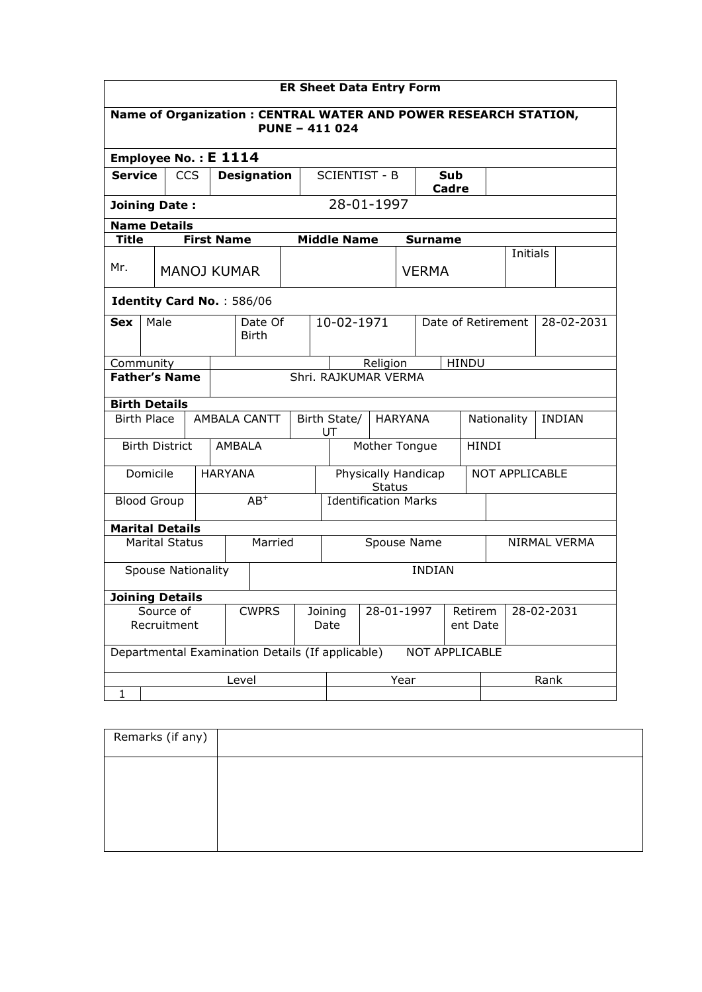| <b>ER Sheet Data Entry Form</b>                                                          |                           |                   |                |                                                  |                               |                                      |                |  |                                   |  |                |            |  |  |
|------------------------------------------------------------------------------------------|---------------------------|-------------------|----------------|--------------------------------------------------|-------------------------------|--------------------------------------|----------------|--|-----------------------------------|--|----------------|------------|--|--|
| Name of Organization: CENTRAL WATER AND POWER RESEARCH STATION,<br><b>PUNE - 411 024</b> |                           |                   |                |                                                  |                               |                                      |                |  |                                   |  |                |            |  |  |
| Employee No.: E 1114                                                                     |                           |                   |                |                                                  |                               |                                      |                |  |                                   |  |                |            |  |  |
| <b>Service</b>                                                                           |                           | <b>CCS</b>        |                | <b>Designation</b>                               |                               | <b>SCIENTIST - B</b>                 |                |  | <b>Sub</b><br>Cadre               |  |                |            |  |  |
| 28-01-1997<br><b>Joining Date:</b>                                                       |                           |                   |                |                                                  |                               |                                      |                |  |                                   |  |                |            |  |  |
| <b>Name Details</b>                                                                      |                           |                   |                |                                                  |                               |                                      |                |  |                                   |  |                |            |  |  |
| <b>Title</b>                                                                             |                           | <b>First Name</b> |                |                                                  |                               | <b>Middle Name</b>                   |                |  | <b>Surname</b>                    |  |                |            |  |  |
| Mr.                                                                                      |                           |                   |                | <b>MANOJ KUMAR</b>                               |                               |                                      |                |  | <b>VERMA</b>                      |  | Initials       |            |  |  |
| Identity Card No.: 586/06                                                                |                           |                   |                |                                                  |                               |                                      |                |  |                                   |  |                |            |  |  |
| <b>Sex</b>                                                                               | Male                      |                   |                | Date Of<br><b>Birth</b>                          |                               | 10-02-1971                           |                |  | Date of Retirement                |  |                | 28-02-2031 |  |  |
| Community                                                                                |                           |                   |                |                                                  |                               | <b>HINDU</b><br>Religion             |                |  |                                   |  |                |            |  |  |
| <b>Father's Name</b>                                                                     |                           |                   |                |                                                  |                               | Shri, RAJKUMAR VERMA                 |                |  |                                   |  |                |            |  |  |
| <b>Birth Details</b>                                                                     |                           |                   |                |                                                  |                               |                                      |                |  |                                   |  |                |            |  |  |
| <b>Birth Place</b>                                                                       |                           |                   |                | <b>AMBALA CANTT</b>                              |                               | Birth State/<br>UT                   | <b>HARYANA</b> |  | <b>INDIAN</b><br>Nationality      |  |                |            |  |  |
|                                                                                          | <b>Birth District</b>     |                   |                | AMBALA                                           |                               | Mother Tongue<br><b>HINDI</b>        |                |  |                                   |  |                |            |  |  |
| Domicile                                                                                 |                           |                   | <b>HARYANA</b> |                                                  |                               | Physically Handicap<br><b>Status</b> |                |  |                                   |  | NOT APPLICABLE |            |  |  |
| <b>Blood Group</b>                                                                       |                           |                   |                | $AB^+$                                           |                               | <b>Identification Marks</b>          |                |  |                                   |  |                |            |  |  |
| <b>Marital Details</b>                                                                   |                           |                   |                |                                                  |                               |                                      |                |  |                                   |  |                |            |  |  |
|                                                                                          | <b>Marital Status</b>     |                   |                | Married                                          |                               | Spouse Name                          |                |  |                                   |  | NIRMAL VERMA   |            |  |  |
|                                                                                          | <b>Spouse Nationality</b> |                   |                |                                                  |                               |                                      |                |  | <b>INDIAN</b>                     |  |                |            |  |  |
| <b>Joining Details</b>                                                                   |                           |                   |                |                                                  |                               |                                      |                |  |                                   |  |                |            |  |  |
| Source of<br>Recruitment                                                                 |                           |                   | <b>CWPRS</b>   |                                                  | 28-01-1997<br>Joining<br>Date |                                      |                |  | 28-02-2031<br>Retirem<br>ent Date |  |                |            |  |  |
|                                                                                          |                           |                   |                | Departmental Examination Details (If applicable) |                               |                                      |                |  | NOT APPLICABLE                    |  |                |            |  |  |
| Level<br>Year<br>Rank<br>1                                                               |                           |                   |                |                                                  |                               |                                      |                |  |                                   |  |                |            |  |  |

| Remarks (if any) |  |
|------------------|--|
|                  |  |
|                  |  |
|                  |  |
|                  |  |
|                  |  |
|                  |  |
|                  |  |
|                  |  |
|                  |  |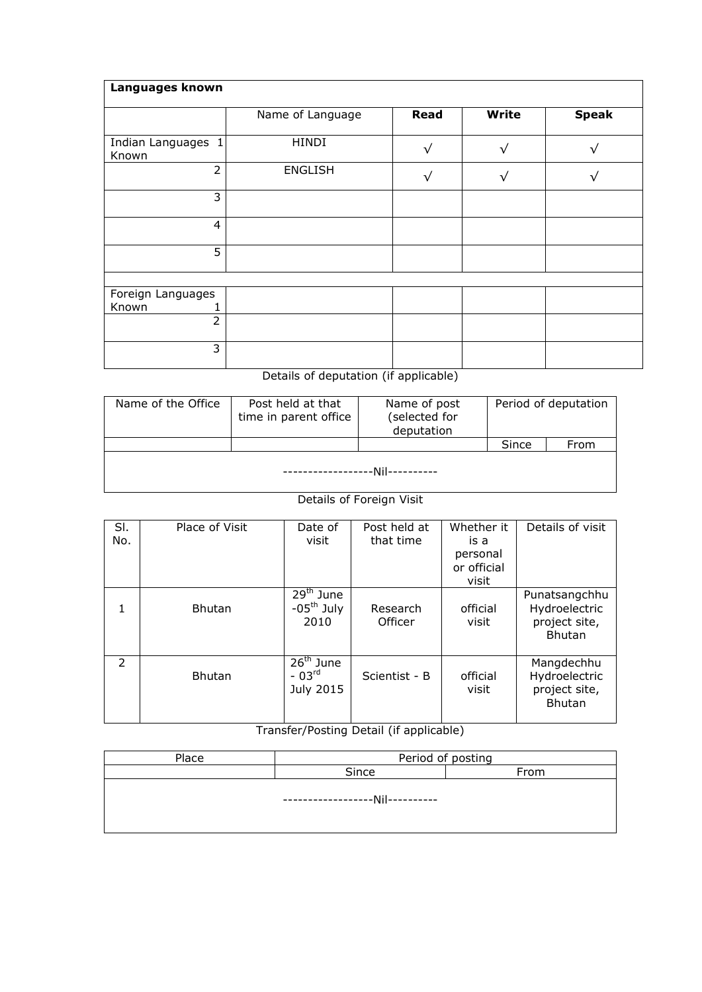| Languages known             |                  |              |              |              |
|-----------------------------|------------------|--------------|--------------|--------------|
|                             | Name of Language | <b>Read</b>  | Write        | <b>Speak</b> |
| Indian Languages 1<br>Known | <b>HINDI</b>     | $\mathbf v$  | $\checkmark$ |              |
| $\overline{2}$              | <b>ENGLISH</b>   | $\mathbf{v}$ |              |              |
| 3                           |                  |              |              |              |
| $\overline{4}$              |                  |              |              |              |
| 5                           |                  |              |              |              |
|                             |                  |              |              |              |
| Foreign Languages<br>Known  |                  |              |              |              |
| $\overline{2}$              |                  |              |              |              |
| 3                           |                  |              |              |              |

## Details of deputation (if applicable)

| Name of the Office                  | Post held at that<br>time in parent office | Name of post<br>(selected for<br>deputation | Period of deputation |      |  |  |  |  |  |  |
|-------------------------------------|--------------------------------------------|---------------------------------------------|----------------------|------|--|--|--|--|--|--|
|                                     |                                            |                                             | Since                | From |  |  |  |  |  |  |
| .--Nil----------<br>--------------- |                                            |                                             |                      |      |  |  |  |  |  |  |

## **Details of Foreign Visit**

| SI.<br>No.    | Place of Visit | Date of<br>visit                              | Post held at<br>that time | Whether it<br>is a<br>personal<br>or official<br>visit | Details of visit                                                 |
|---------------|----------------|-----------------------------------------------|---------------------------|--------------------------------------------------------|------------------------------------------------------------------|
| 1             | <b>Bhutan</b>  | $29th$ June<br>$-05^{\text{th}}$ July<br>2010 | Research<br>Officer       | official<br>visit                                      | Punatsangchhu<br>Hydroelectric<br>project site,<br><b>Bhutan</b> |
| $\mathcal{P}$ | <b>Bhutan</b>  | $26th$ June<br>$-03rd$<br>July 2015           | Scientist - B             | official<br>visit                                      | Mangdechhu<br>Hydroelectric<br>project site,<br><b>Bhutan</b>    |

## Transfer/Posting Detail (if applicable)

| Place | Period of posting             |      |  |  |  |  |  |  |
|-------|-------------------------------|------|--|--|--|--|--|--|
|       | Since                         | From |  |  |  |  |  |  |
|       | ----------------Nil---------- |      |  |  |  |  |  |  |